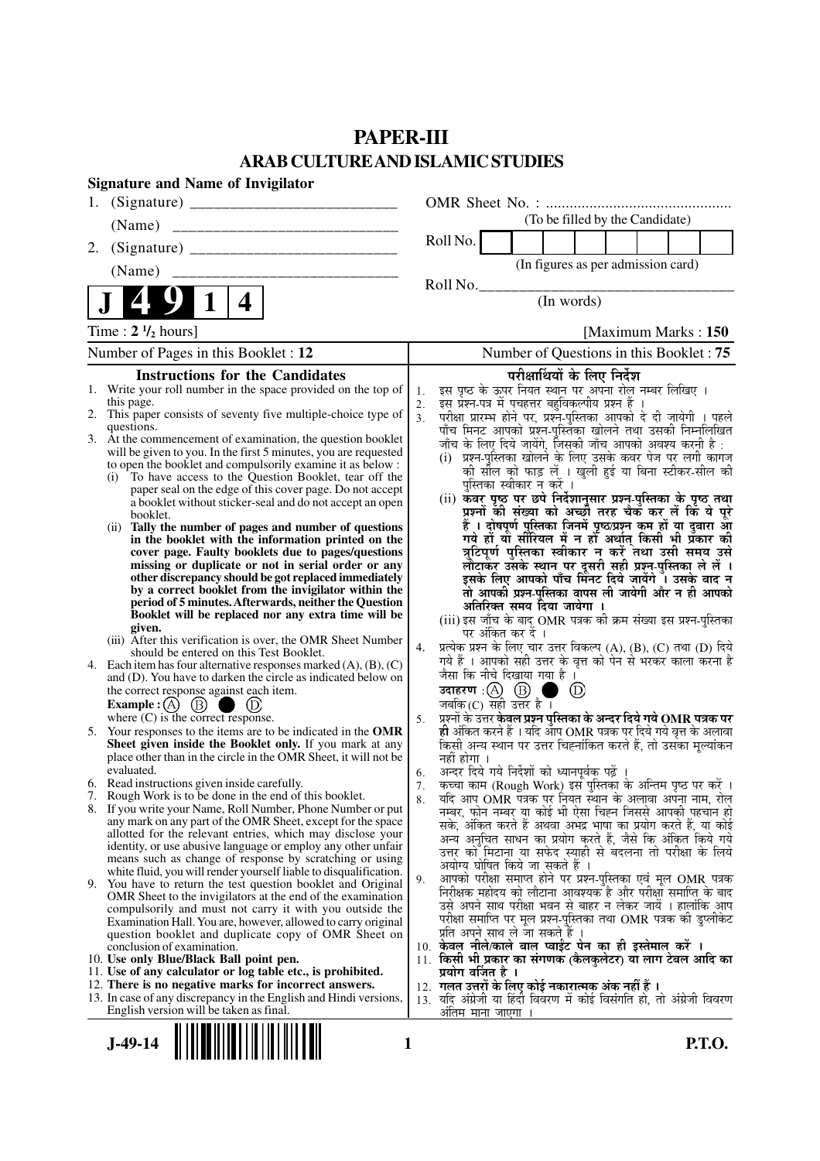## **PAPER-III ARAB CULTURE AND ISLAMIC STUDIES**

|    | <b>Signature and Name of Invigilator</b>                                                                                                 |                |                                                                                                                                     |  |  |  |  |
|----|------------------------------------------------------------------------------------------------------------------------------------------|----------------|-------------------------------------------------------------------------------------------------------------------------------------|--|--|--|--|
|    |                                                                                                                                          |                |                                                                                                                                     |  |  |  |  |
|    | (Name)                                                                                                                                   |                | (To be filled by the Candidate)                                                                                                     |  |  |  |  |
| 2. |                                                                                                                                          |                | Roll No.                                                                                                                            |  |  |  |  |
|    | (Name)                                                                                                                                   |                | (In figures as per admission card)                                                                                                  |  |  |  |  |
|    |                                                                                                                                          |                | Roll No.<br>(In words)                                                                                                              |  |  |  |  |
|    | 4                                                                                                                                        |                |                                                                                                                                     |  |  |  |  |
|    | Time : $2 \frac{1}{2}$ hours]                                                                                                            |                | [Maximum Marks: 150                                                                                                                 |  |  |  |  |
|    | Number of Pages in this Booklet : 12                                                                                                     |                | Number of Questions in this Booklet: 75                                                                                             |  |  |  |  |
|    | <b>Instructions for the Candidates</b>                                                                                                   |                | परीक्षार्थियों के लिए निर्देश                                                                                                       |  |  |  |  |
|    | 1. Write your roll number in the space provided on the top of<br>this page.                                                              | 1.<br>2.       | इस पृष्ठ के ऊपर नियत स्थान पर अपना रोल नम्बर लिखिए ।<br>इस प्रश्न-पत्र में पचहत्तर बहुविकल्पीय प्रश्न हैं ।                         |  |  |  |  |
|    | 2. This paper consists of seventy five multiple-choice type of                                                                           | 3 <sub>1</sub> | परीक्षा प्रारम्भ होने पर, प्रश्न-पुस्तिका आपको दे दी जायेगी । पहले<br>पाँच मिनट आपको प्रश्न-पुस्तिका खोलने तथा उसकी निम्नलिखित      |  |  |  |  |
|    | questions.<br>3. At the commencement of examination, the question booklet                                                                |                |                                                                                                                                     |  |  |  |  |
|    | will be given to you. In the first 5 minutes, you are requested                                                                          |                | जाँच के लिए दिये जायेंगे, जिसकी जाँच आपको अवश्य करनी है :<br>(i) प्रश्न-पुस्तिका खोलने के लिए उसके कवर पेज पर लगी कागज              |  |  |  |  |
|    | to open the booklet and compulsorily examine it as below :<br>To have access to the Question Booklet, tear off the<br>(i)                |                | को सील को फाड़ लें । खुली हुई या बिना स्टीकर-सील की                                                                                 |  |  |  |  |
|    | paper seal on the edge of this cover page. Do not accept                                                                                 |                | पुस्तिका स्वीकार न करें ।                                                                                                           |  |  |  |  |
|    | a booklet without sticker-seal and do not accept an open<br>booklet.                                                                     |                | (ii) कवर पृष्ठ पर छपे निर्देशानुसार प्रश्न्-पुस्तिका के पृष्ठ तथा<br>प्रश्नों की संख्या को अच्छी तरह चैक कर लें कि ये पूरे          |  |  |  |  |
|    | Tally the number of pages and number of questions<br>(ii)                                                                                |                | हैं । दोषपूर्ण पुस्तिका जिनमें पृष्ठ/प्रश्न कम हों या दुबारा आ<br>गये हो या सीरियल में न हो अर्थात् किसी भी प्रकार की               |  |  |  |  |
|    | in the booklet with the information printed on the<br>cover page. Faulty booklets due to pages/questions                                 |                | त्रुटिपूर्ण पुस्तिका स्वीकार न करें तथा उसी समय उसे                                                                                 |  |  |  |  |
|    | missing or duplicate or not in serial order or any                                                                                       |                |                                                                                                                                     |  |  |  |  |
|    | other discrepancy should be got replaced immediately                                                                                     |                | लौटाकर उसके स्थान पर दूसरी सही प्रश्न-पुस्तिका ले लें ।<br>इसके लिए आपको पाँच मिनट दिये जायेंगे । उसके बाद न                        |  |  |  |  |
|    | by a correct booklet from the invigilator within the<br>period of 5 minutes. Afterwards, neither the Question                            |                | तो आपकी प्रश्न-पुस्तिका वापस ली जायेगी और न ही आपको<br>अतिरिक्त समय दिया जायेगा ।                                                   |  |  |  |  |
|    | Booklet will be replaced nor any extra time will be                                                                                      |                | (iii) इस जाँच के बाद OMR पत्रक की क्रम संख्या इस प्रश्न-पुस्तिका                                                                    |  |  |  |  |
|    | given.<br>(iii) After this verification is over, the OMR Sheet Number                                                                    |                | पर अंकित कर दें ।                                                                                                                   |  |  |  |  |
|    | should be entered on this Test Booklet.                                                                                                  | 4.             | प्रत्येक प्रश्न के लिए चार उत्तर विकल्प (A), (B), (C) तथा (D) दिये<br>गये हैं । आपको सही उत्तर के वृत्त को पेन से भरकर काला करना है |  |  |  |  |
|    | 4. Each item has four alternative responses marked $(A)$ , $(B)$ , $(C)$<br>and (D). You have to darken the circle as indicated below on |                | जैसा कि नीचे दिखाया गया है ।                                                                                                        |  |  |  |  |
|    | the correct response against each item.                                                                                                  |                | उदाहरण: $(A)$ $(B)$ ।<br>$\circled{D}$<br>a s                                                                                       |  |  |  |  |
|    | $\circled{B}$<br><b>Example</b> : $(A)$<br>where $(C)$ is the correct response.                                                          |                | जबकि (C) सही उत्तर है ।                                                                                                             |  |  |  |  |
|    | 5. Your responses to the items are to be indicated in the OMR                                                                            | 5.             | प्रूशनों के उत्तर केवल प्रष्ट्रन पुस्तिका के अन्दर दिये गये OMR पत्रक पर                                                            |  |  |  |  |
|    | Sheet given inside the Booklet only. If you mark at any                                                                                  |                | ही अंकित करने हैं । यदि आप OMR पत्रक पर दिये गये वृत्त के अलावा<br>किसी अन्य स्थान पर उत्तर चिह्नांकित करते हैं, तो उसका मूल्यांकन  |  |  |  |  |
|    | place other than in the circle in the OMR Sheet, it will not be<br>evaluated.                                                            | 6.             | नहीं होगा ।<br>अन्दर दिये गये निर्देशों को ध्यानपूर्वक पढ़ें ।                                                                      |  |  |  |  |
|    | 6. Read instructions given inside carefully.                                                                                             | 7.             | कच्चा काम (Rough Work) इस पुस्तिका के अन्तिम पृष्ठ पर करें ।                                                                        |  |  |  |  |
|    | 7. Rough Work is to be done in the end of this booklet.<br>8. If you write your Name, Roll Number, Phone Number or put                   | 8.             | र्याद आप OMR पत्रक पर नियत स्थान के अलावा अपना नाम, रोल                                                                             |  |  |  |  |
|    | any mark on any part of the OMR Sheet, except for the space                                                                              |                | नम्बर, फोन नम्बर या कोई भी ऐसा चिह्न जिससे आपकी पहचान हो<br>सके, अंकित करते हैं अथवा अभद्र भाषा का प्रयोग करते हैं, या कोई          |  |  |  |  |
|    | allotted for the relevant entries, which may disclose your                                                                               |                | अन्य अनुचित साधन का प्रयोग करते हैं, जैसे कि अंकित किये गये                                                                         |  |  |  |  |
|    | identity, or use abusive language or employ any other unfair<br>means such as change of response by scratching or using                  |                | उत्तर को मिटाना या सफेद स्याही से बदलना तो परीक्षा के लिये                                                                          |  |  |  |  |
|    | white fluid, you will render yourself liable to disqualification.                                                                        | 9.             | अयोग्य घोषित किये जा सकते हैं ।<br>आपको परीक्षा समाप्त होने पर प्रश्न-पुस्तिका एवं मूल OMR पत्रक                                    |  |  |  |  |
|    | 9. You have to return the test question booklet and Original<br>OMR Sheet to the invigilators at the end of the examination              |                | निरीक्षक महोदय को लौटाना आवश्यक है और परीक्षा समाप्ति के बाद                                                                        |  |  |  |  |
|    | compulsorily and must not carry it with you outside the                                                                                  |                | उसे अपने साथ परीक्षा भवन से बाहर न लेकर जायें । हालांकि आप                                                                          |  |  |  |  |
|    | Examination Hall. You are, however, allowed to carry original<br>question booklet and duplicate copy of OMR Sheet on                     |                | परीक्षा समाप्ति पर मूल प्रश्न-पुस्तिका तथा OMR पत्रक की डुप्लीकेट<br>प्रति अपने साथ ले जा सकते हैं ।                                |  |  |  |  |
|    | conclusion of examination.                                                                                                               |                | 10. केवल नीले/काले बाल प्वाईंट पेन का ही इस्तेमाल करें ।                                                                            |  |  |  |  |
|    | 10. Use only Blue/Black Ball point pen.                                                                                                  |                | 11. किसी भी प्रकार का संगणक (कैलकुलेटर) या लाग टेबल आदि का                                                                          |  |  |  |  |
|    | 11. Use of any calculator or log table etc., is prohibited.<br>12. There is no negative marks for incorrect answers.                     |                | प्रयोग वर्जित है ।<br>12. गलत उत्तरों के लिए कोई नकारात्मक अंक नहीं हैं ।                                                           |  |  |  |  |
|    | 13. In case of any discrepancy in the English and Hindi versions,                                                                        |                | 13. यदि अंग्रेजी या हिंदी विवरण में कोई विसंगति हो, तो अंग्रेजी विवरण                                                               |  |  |  |  |
|    | English version will be taken as final.                                                                                                  |                | <u>अंतिम माना जाएगा</u>                                                                                                             |  |  |  |  |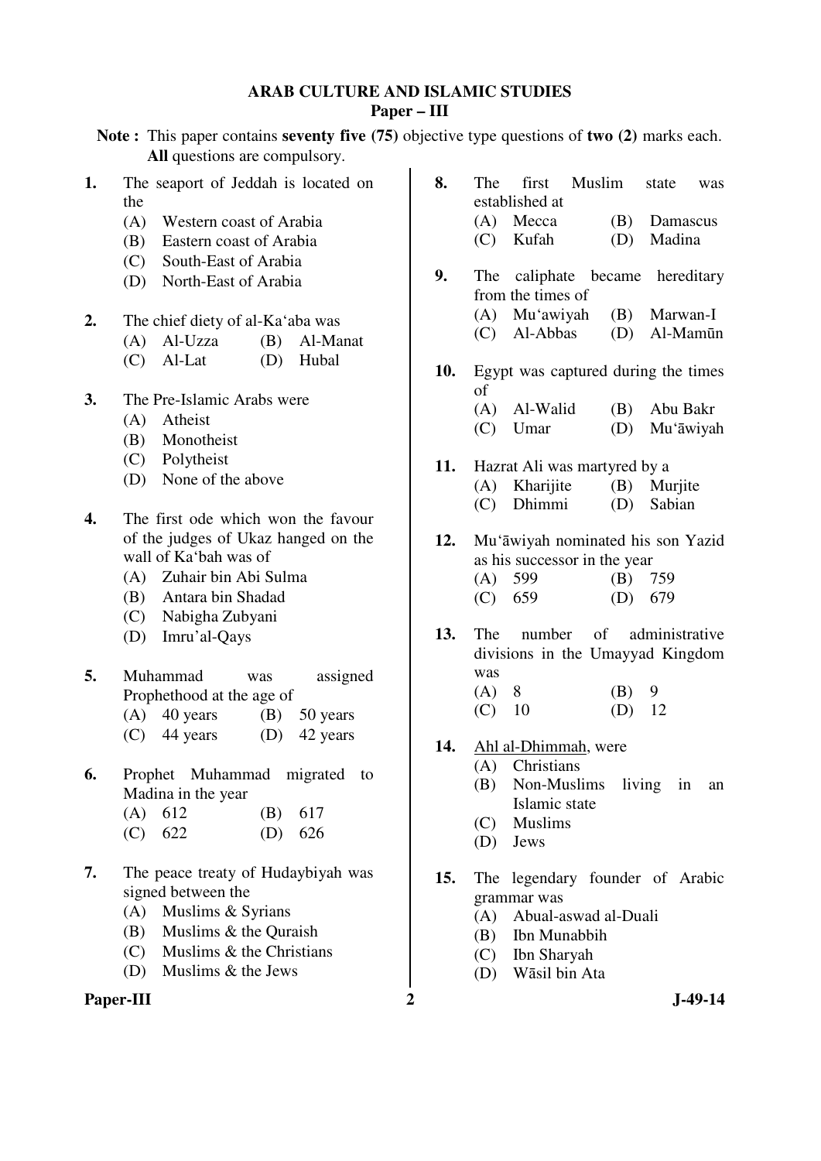## **ARAB CULTURE AND ISLAMIC STUDIES Paper – III**

**Note :** This paper contains **seventy five (75)** objective type questions of **two (2)** marks each. **All** questions are compulsory.

| (A) Western coast of Arabia<br>(B) Eastern coast of Arabia<br>(C) South-East of Arabia<br>(D) North-East of Arabia<br>2.<br>The chief diety of al-Ka'aba was<br>$(A)$ Al-Uzza<br>(B) Al-Manat<br>(D) Hubal<br>$(C)$ Al-Lat<br>3.<br>The Pre-Islamic Arabs were<br>(A) Atheist<br>(B) Monotheist<br>(C) Polytheist<br>(D) None of the above<br>4.<br>The first ode which won the favour<br>of the judges of Ukaz hanged on the<br>wall of Ka'bah was of<br>(A) Zuhair bin Abi Sulma<br>(B) Antara bin Shadad<br>(C) Nabigha Zubyani<br>(D) Imru'al-Qays<br>5.<br>Muhammad<br>assigned<br>was<br>Prophethood at the age of<br>$(A)$ 40 years $(B)$ 50 years<br>$(C)$ 44 years $(D)$ 42 years<br>6.<br>Prophet Muhammad migrated to | 9.<br>10.<br>11.<br>12.<br>13.<br>14.<br>(B)<br>617 | 1. | The seaport of Jeddah is located on<br>the | 8. |
|----------------------------------------------------------------------------------------------------------------------------------------------------------------------------------------------------------------------------------------------------------------------------------------------------------------------------------------------------------------------------------------------------------------------------------------------------------------------------------------------------------------------------------------------------------------------------------------------------------------------------------------------------------------------------------------------------------------------------------|-----------------------------------------------------|----|--------------------------------------------|----|
|                                                                                                                                                                                                                                                                                                                                                                                                                                                                                                                                                                                                                                                                                                                                  |                                                     |    |                                            |    |
|                                                                                                                                                                                                                                                                                                                                                                                                                                                                                                                                                                                                                                                                                                                                  |                                                     |    |                                            |    |
|                                                                                                                                                                                                                                                                                                                                                                                                                                                                                                                                                                                                                                                                                                                                  |                                                     |    |                                            |    |
|                                                                                                                                                                                                                                                                                                                                                                                                                                                                                                                                                                                                                                                                                                                                  |                                                     |    |                                            |    |
|                                                                                                                                                                                                                                                                                                                                                                                                                                                                                                                                                                                                                                                                                                                                  |                                                     |    |                                            |    |
|                                                                                                                                                                                                                                                                                                                                                                                                                                                                                                                                                                                                                                                                                                                                  |                                                     |    |                                            |    |
|                                                                                                                                                                                                                                                                                                                                                                                                                                                                                                                                                                                                                                                                                                                                  |                                                     |    |                                            |    |
|                                                                                                                                                                                                                                                                                                                                                                                                                                                                                                                                                                                                                                                                                                                                  |                                                     |    |                                            |    |
|                                                                                                                                                                                                                                                                                                                                                                                                                                                                                                                                                                                                                                                                                                                                  |                                                     |    |                                            |    |
|                                                                                                                                                                                                                                                                                                                                                                                                                                                                                                                                                                                                                                                                                                                                  |                                                     |    |                                            |    |
|                                                                                                                                                                                                                                                                                                                                                                                                                                                                                                                                                                                                                                                                                                                                  |                                                     |    |                                            |    |
|                                                                                                                                                                                                                                                                                                                                                                                                                                                                                                                                                                                                                                                                                                                                  |                                                     |    |                                            |    |
|                                                                                                                                                                                                                                                                                                                                                                                                                                                                                                                                                                                                                                                                                                                                  |                                                     |    |                                            |    |
|                                                                                                                                                                                                                                                                                                                                                                                                                                                                                                                                                                                                                                                                                                                                  |                                                     |    |                                            |    |
|                                                                                                                                                                                                                                                                                                                                                                                                                                                                                                                                                                                                                                                                                                                                  |                                                     |    |                                            |    |
|                                                                                                                                                                                                                                                                                                                                                                                                                                                                                                                                                                                                                                                                                                                                  |                                                     |    |                                            |    |
|                                                                                                                                                                                                                                                                                                                                                                                                                                                                                                                                                                                                                                                                                                                                  |                                                     |    |                                            |    |
|                                                                                                                                                                                                                                                                                                                                                                                                                                                                                                                                                                                                                                                                                                                                  |                                                     |    |                                            |    |
|                                                                                                                                                                                                                                                                                                                                                                                                                                                                                                                                                                                                                                                                                                                                  |                                                     |    |                                            |    |
|                                                                                                                                                                                                                                                                                                                                                                                                                                                                                                                                                                                                                                                                                                                                  |                                                     |    |                                            |    |
|                                                                                                                                                                                                                                                                                                                                                                                                                                                                                                                                                                                                                                                                                                                                  |                                                     |    |                                            |    |
|                                                                                                                                                                                                                                                                                                                                                                                                                                                                                                                                                                                                                                                                                                                                  |                                                     |    |                                            |    |
|                                                                                                                                                                                                                                                                                                                                                                                                                                                                                                                                                                                                                                                                                                                                  |                                                     |    |                                            |    |
|                                                                                                                                                                                                                                                                                                                                                                                                                                                                                                                                                                                                                                                                                                                                  |                                                     |    |                                            |    |
|                                                                                                                                                                                                                                                                                                                                                                                                                                                                                                                                                                                                                                                                                                                                  |                                                     |    |                                            |    |
|                                                                                                                                                                                                                                                                                                                                                                                                                                                                                                                                                                                                                                                                                                                                  |                                                     |    |                                            |    |
|                                                                                                                                                                                                                                                                                                                                                                                                                                                                                                                                                                                                                                                                                                                                  |                                                     |    | Madina in the year                         |    |
| (A)<br>612                                                                                                                                                                                                                                                                                                                                                                                                                                                                                                                                                                                                                                                                                                                       |                                                     |    |                                            |    |
| (C) 622<br>$(D)$ 626                                                                                                                                                                                                                                                                                                                                                                                                                                                                                                                                                                                                                                                                                                             |                                                     |    |                                            |    |
|                                                                                                                                                                                                                                                                                                                                                                                                                                                                                                                                                                                                                                                                                                                                  |                                                     |    |                                            |    |

- **7.** The peace treaty of Hudaybiyah was signed between the
	- (A) Muslims & Syrians
	- (B) Muslims & the Quraish
	- (C) Muslims & the Christians
	- (D) Muslims & the Jews

## **Paper-III** 2 J-49-14

| 8.  |          | The first Muslim state was                     |          |           |    |
|-----|----------|------------------------------------------------|----------|-----------|----|
|     |          | established at                                 |          |           |    |
|     |          |                                                |          |           |    |
|     |          | (A) Mecca (B) Damascus<br>(C) Kufah (D) Madina |          |           |    |
| 9.  |          | The caliphate became hereditary                |          |           |    |
|     |          | from the times of                              |          |           |    |
|     |          | (A) Mu'awiyah (B) Marwan-I                     |          |           |    |
|     |          | (C) Al-Abbas (D) Al-Mamūn                      |          |           |    |
| 10. |          | Egypt was captured during the times            |          |           |    |
|     | of       |                                                |          |           |    |
|     |          | (A) Al-Walid (B) Abu Bakr                      |          |           |    |
|     |          | (C) Umar (D) Mu'āwiyah                         |          |           |    |
| 11. |          | Hazrat Ali was martyred by a                   |          |           |    |
|     |          | (A) Kharijite (B) Murjite                      |          |           |    |
|     |          | (C) Dhimmi (D) Sabian                          |          |           |    |
|     |          | 12. Mu'āwiyah nominated his son Yazid          |          |           |    |
|     |          | as his successor in the year                   |          |           |    |
|     |          |                                                |          |           |    |
|     |          | (A) 599 (B) 759<br>(C) 659 (D) 679             |          |           |    |
| 13. |          | The number of administrative                   |          |           |    |
|     |          | divisions in the Umayyad Kingdom               |          |           |    |
|     | was      |                                                |          |           |    |
|     | $(A)$ 8  |                                                | $(B)$ 9  |           |    |
|     | $(C)$ 10 |                                                | $(D)$ 12 |           |    |
| 14. |          | Ahl al-Dhimmah, were                           |          |           |    |
|     |          | (A) Christians                                 |          |           |    |
|     |          | (B) Non-Muslims                                |          | living in | an |
|     |          | Islamic state                                  |          |           |    |
|     |          | (C) Muslims                                    |          |           |    |
|     |          | (D) Jews                                       |          |           |    |
| 15. |          | The legendary founder of Arabic                |          |           |    |
|     |          | grammar was                                    |          |           |    |
|     |          | (A) Abual-aswad al-Duali                       |          |           |    |

- (B) Ibn Munabbih (C) Ibn Sharyah
- (D) Wāsil bin Ata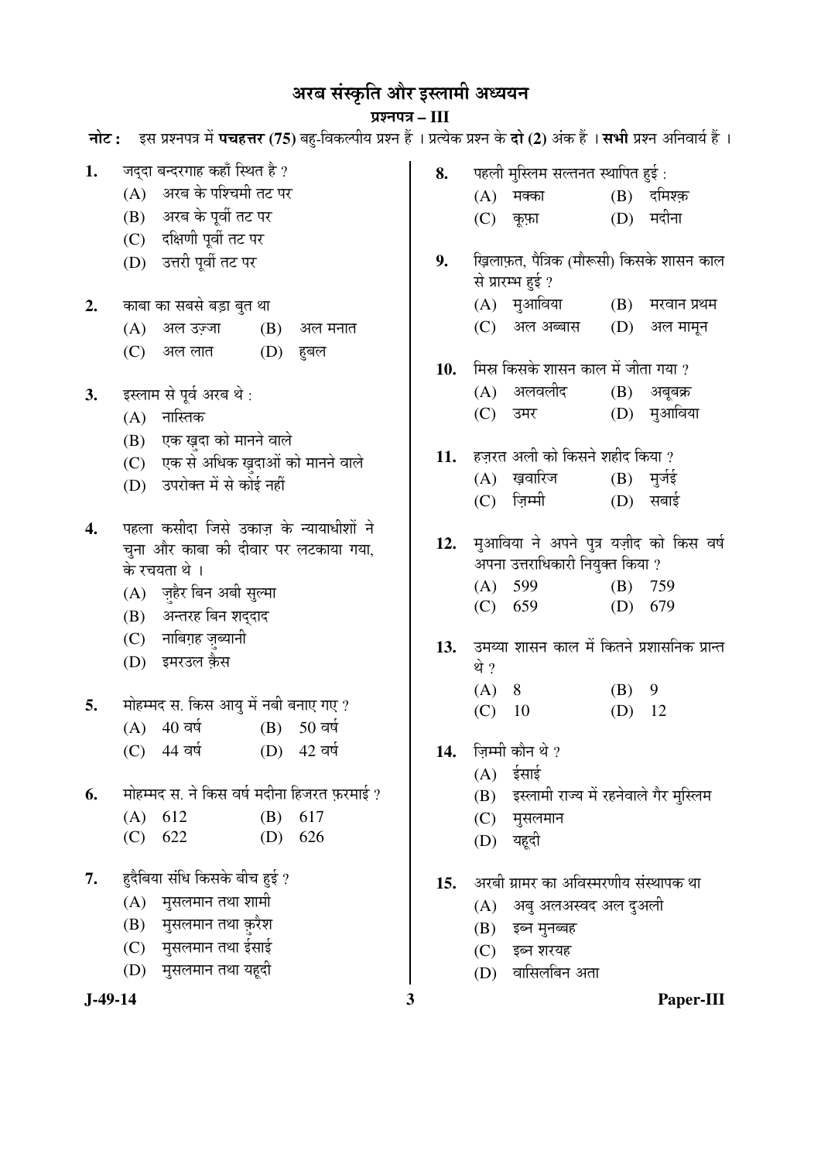# अरब संस्कृति और इस्लामी अध्ययन

## प्रश्नपत्र – III

|           | नोट: इस प्रश्नपत्र में पचहत्तर (75) बहु-विकल्पीय प्रश्न हैं । प्रत्येक प्रश्न के दो (2) अंक हैं । सभी प्रश्न अनिवार्य हैं । |     |                                                                             |
|-----------|-----------------------------------------------------------------------------------------------------------------------------|-----|-----------------------------------------------------------------------------|
| 1.        | जद्दा बन्दरगाह कहाँ स्थित है ?                                                                                              | 8.  | पहली मुस्लिम सल्तनत स्थापित हुई :                                           |
|           | (A) अरब के पश्चिमी तट पर                                                                                                    |     | $(B)$ दमिश्क़<br>(A)<br>मक्का                                               |
|           | अरब के पूर्वी तट पर<br>(B)                                                                                                  |     | $(D)$ मदीना<br>(C) कूफ़ा                                                    |
|           | दक्षिणी पूर्वी तट पर<br>(C)                                                                                                 |     |                                                                             |
|           | (D) उत्तरी पूर्वी तट पर                                                                                                     | 9.  | ख़िलाफ़त, पैत्रिक (मौरूसी) किसके शासन काल                                   |
|           |                                                                                                                             |     | से प्रारम्भ हुई ?                                                           |
| 2.        | काबा का सबसे बड़ा बुत था                                                                                                    |     | (A) मुआविया (B) मरवान प्रथम                                                 |
|           | अल उज़्जा<br>(B)<br>(A)<br>अल मनात                                                                                          |     | (C) अल अब्बास<br>(D)<br>अल मामून                                            |
|           | अल लात $(D)$<br>(C)<br>हुबल                                                                                                 | 10. | मिस्र किसके शासन काल में जीता गया ?                                         |
| 3.        | इस्लाम से पूर्व अरब थे :                                                                                                    |     | (A) अलवलीद<br>$(B)$ अबूबक्र                                                 |
|           | (A) नास्तिक                                                                                                                 |     | (D) मुआविया<br>(C)<br>उमर                                                   |
|           | (B) एक ख़ुदा को मानने वाले                                                                                                  |     |                                                                             |
|           | (C) एक से अधिक ख़दाओं को मानने वाले                                                                                         | 11. | हज़रत अली को किसने शहीद किया ?                                              |
|           | उपरोक्त में से कोई नहीं<br>(D)                                                                                              |     | खवारिज<br>मुर्जई<br>(A)<br>(B)                                              |
|           |                                                                                                                             |     | ज़िम्मी<br>$(D)$ सबाई<br>(C)                                                |
| 4.        | पहला कसीदा जिसे उकाज़ के न्यायाधीशों ने                                                                                     |     |                                                                             |
|           | चुना और काबा की दीवार पर लटकाया गया,                                                                                        | 12. | मुआविया ने अपने पुत्र यज़ीद को किस वर्ष<br>अपना उत्तराधिकारी नियुक्त किया ? |
|           | के रचयता थे ।                                                                                                               |     | 599<br>(B)<br>759<br>(A)                                                    |
|           | (A) ज़्हैर बिन अबी सुल्मा                                                                                                   |     | (C) 659<br>$(D)$ 679                                                        |
|           | (B) अन्तरह बिन शद्दाद<br>(C) नाबिग़ह ज़ब्यानी                                                                               |     |                                                                             |
|           | इमरउल क़ैस<br>(D)                                                                                                           |     | 13. उमय्या शासन काल में कितने प्रशासनिक प्रान्त                             |
|           |                                                                                                                             |     | थे ?                                                                        |
| 5.        | मोहम्मद स. किस आयु में नबी बनाए गए ?                                                                                        |     | $(B)$ 9<br>$(A)$ 8<br>12<br>(C)<br>10<br>(D)                                |
|           | $(B) 50$ वर्ष<br>40 वर्ष<br>(A)                                                                                             |     |                                                                             |
|           | (C) 44 वर्ष (D) 42 वर्ष                                                                                                     | 14. | ज़िम्मी कौन थे ?                                                            |
|           |                                                                                                                             |     | ईसाई<br>(A)                                                                 |
| 6.        | मोहम्मद स. ने किस वर्ष मदीना हिजरत फ़रमाई ?                                                                                 |     | इस्लामी राज्य में रहनेवाले गैर मुस्लिम<br>(B)                               |
|           | 612<br>617<br>(A)<br>(B)                                                                                                    |     | (C)<br>मुसलमान                                                              |
|           | 622<br>(D)<br>626<br>(C)                                                                                                    |     | यहूदी<br>(D)                                                                |
| 7.        | हुदैबिया संधि किसके बीच हुई ?                                                                                               | 15. | अरबी ग्रामर का अविस्मरणीय संस्थापक था                                       |
|           | मुसलमान तथा शामी<br>(A)                                                                                                     |     | (A) अबु अलअस्वद अल दुअली                                                    |
|           | (B) मुसलमान तथा क़रैश                                                                                                       |     | इब्न मुनब्बह<br>(B)                                                         |
|           | (C) मुसलमान तथा ईसाई                                                                                                        |     | इब्न शरयह<br>(C)                                                            |
|           | (D) मुसलमान तथा यहूदी                                                                                                       |     | वासिलबिन अता<br>(D)                                                         |
| $J-49-14$ |                                                                                                                             | 3   | Paper-III                                                                   |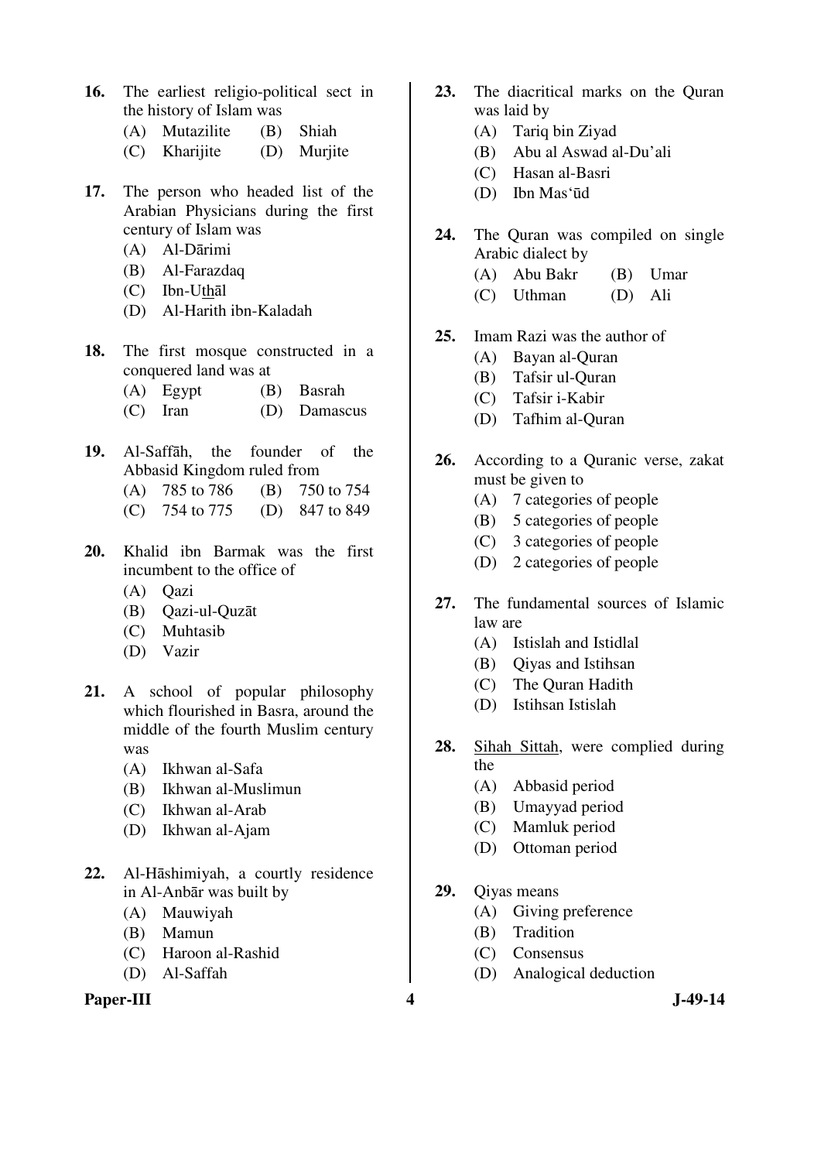- **16.** The earliest religio-political sect in the history of Islam was
	- (A) Mutazilite (B) Shiah
	- (C) Kharijite (D) Murjite
- **17.** The person who headed list of the Arabian Physicians during the first century of Islam was
	- (A) Al-Dārimi
	- (B) Al-Farazdaq
	- (C) Ibn-Uthāl
	- (D) Al-Harith ibn-Kaladah
- **18.** The first mosque constructed in a conquered land was at
	- (A) Egypt (B) Basrah
	- (C) Iran (D) Damascus
- **19.** Al-Saffāh, the founder of the Abbasid Kingdom ruled from
	- (A) 785 to 786 (B) 750 to 754
	- (C) 754 to 775 (D) 847 to 849
- **20.** Khalid ibn Barmak was the first incumbent to the office of
	- (A) Qazi
	- (B) Qazi-ul-Quzāt
	- (C) Muhtasib
	- (D) Vazir
- **21.** A school of popular philosophy which flourished in Basra, around the middle of the fourth Muslim century was
	- (A) Ikhwan al-Safa
	- (B) Ikhwan al-Muslimun
	- (C) Ikhwan al-Arab
	- (D) Ikhwan al-Ajam
- **22.** Al-Hāshimiyah, a courtly residence in Al-Anbār was built by
	- (A) Mauwiyah
	- (B) Mamun
	- (C) Haroon al-Rashid
	- (D) Al-Saffah

### Paper-III **4** J-49-14

- **23.** The diacritical marks on the Quran was laid by
	- (A) Tariq bin Ziyad
	- (B) Abu al Aswad al-Du'ali
	- (C) Hasan al-Basri
	- (D) Ibn Mas'ūd
- **24.** The Quran was compiled on single Arabic dialect by
	- (A) Abu Bakr (B) Umar
	- (C) Uthman (D) Ali
- **25.** Imam Razi was the author of
	- (A) Bayan al-Quran
	- (B) Tafsir ul-Quran
	- (C) Tafsir i-Kabir
	- (D) Tafhim al-Quran
- **26.** According to a Quranic verse, zakat must be given to
	- (A) 7 categories of people
	- (B) 5 categories of people
	- (C) 3 categories of people
	- (D) 2 categories of people
- **27.** The fundamental sources of Islamic law are
	- (A) Istislah and Istidlal
	- (B) Qiyas and Istihsan
	- (C) The Quran Hadith
	- (D) Istihsan Istislah
- **28.** Sihah Sittah, were complied during the
	- (A) Abbasid period
	- (B) Umayyad period
	- (C) Mamluk period
	- (D) Ottoman period
- **29.** Qiyas means
	- (A) Giving preference
	- (B) Tradition
	- (C) Consensus
	- (D) Analogical deduction
-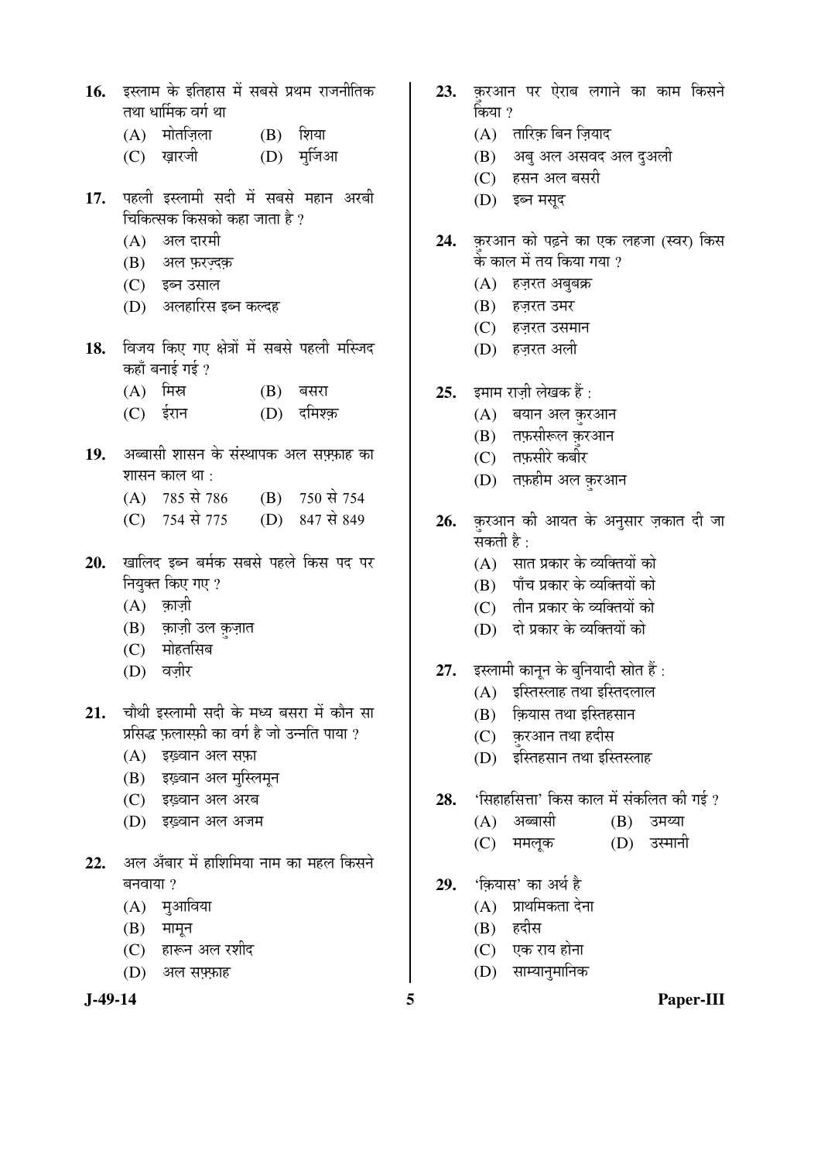- 16. Eस्लाम के इतिहास में सबसे प्रथम राजनीतिक तथा धार्मिक वर्ग था
	- $(A)$  मोतज़िला  $(B)$  शिया
	- (C) ख़ारजी (D) मुर्जिआ
- 17. पहली इस्लामी सदी में सबसे महान अरबी चिकित्सक किसको कहा जाता है ?
	- $(A)$  अल दारमी
	- (B) अल फ़रज़्दक़
	- (C) इब्न उसाल
	- (D) अलहारिस इब्न कल्दह
- 18. विजय किए गए क्षेत्रों में सबसे पहली मस्जिद कहाँ बनाई गई ?
	- $(A)$  मिस्र  $(B)$  बसरा
	- (C) ईरान (D) दमिश्क
- 19. अब्बासी शासन के संस्थापक अल सफ्फाह का शासन काल था :
	- (A) 785 से 786 (B) 750 से 754
	- (C) 754 से 775 (D) 847 से 849
- 20. खालिद इब्न बर्मक सबसे पहले किस पद पर नियुक्त किए गए?
	- $(A)$  क़ाज़ी
	- (B) क़ाज़ी उल क़ज़ात
	- (C) मोहतसिब
	- (D) वज़ीर
- 21. चौथी इस्लामी सदी के मध्य बसरा में कौन सा प्रसिद्ध फलास्फी का वर्ग है जो उन्नति पाया ?
	- (A) इंग्ड़वान अल सफ़ा
	- (B) इंग्ड़वान अल मुस्लिमून
	- (C) इंग्ड़वान अल अरब
	- (D) इंग्ड़वान अल अजम
- **22.** अल अँबार में हाशिमिया नाम का महल किसने  $\overline{a}$ नवाया ?
	- $(A)$  मुआविया
	- $(B)$  मामून
	- $(C)$  हारून अल रशीद
	- (D) अल सफ़्फ़ाह



- 23. करआन पर ऐराब लगाने का काम किसने किया ?
	- $(A)$  तारिक बिन जियाद
	- (B) अबु अल असवद अल दुअली
	- (C) हसन अल बसरी
	- (D) इब्न मसुद
- 24. क़रआन को पढ़ने का एक लहजा (स्वर) किस के काल में तय किया गया ?
	- $(A)$  हज़रत अबुबक्र
	- $(B)$  हज़रत उमर
	- (C) हज़रत उसमान
	- (D) हज़रत अली
- **25.** इमाम राज़ी लेखक हैं :
	- (A) बयान अल क़रआन
	- (B) तफ़सीरूल क़रआन
	- $(C)$  तफ़सीरे कबौर
	- (D) तफ़हीम अल क़रआन
- 26. करआन की आयत के अनुसार ज़कात दी जा सकती है $\cdot$ 
	- (A) सात प्रकार के व्यक्तियों को
	- (B) पाँच प्रकार के व्यक्तियों को
	- (C) तीन प्रकार के व्यक्तियों को
	- (D) दो प्रकार के व्यक्तियों को
- 27. इस्लामी कानून के बुनियादी स्रोत हैं:
	- $(A)$  इस्तिस्लाह तथा इस्तिदलाल
	- $(B)$  कियास तथा इस्तिहसान
	- (C) क़रआन तथा हदीस
	- (D) इस्तिहसान तथा इस्तिस्लाह
- 28. 'सिहाहसित्ता' किस काल में संकलित की गई ?
	- (A) अब्बासी (B) उमय्या
	- (C) ममलूक (D) उस्मानी
- 29. 'कियास' का अर्थ है
	- $(A)$  प्राथमिकता देना
	- (B) हदीस
	- (C) एक राय होना
	- (D) साम्यानुमानिक
- 

**J-49-14 5 Paper-III**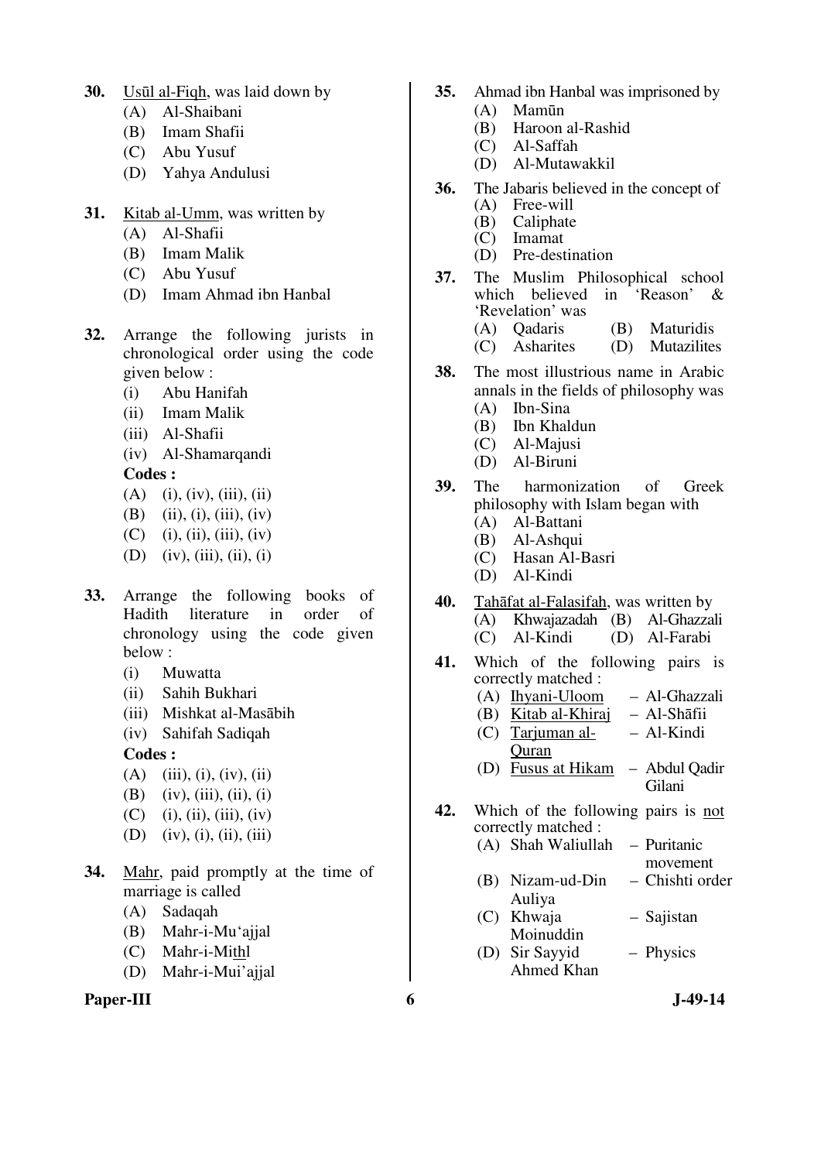- **30.** Usūl al-Fiqh, was laid down by
	- (A) Al-Shaibani
	- (B) Imam Shafii
	- (C) Abu Yusuf
	- (D) Yahya Andulusi
- **31.** Kitab al-Umm, was written by
	- (A) Al-Shafii
	- (B) Imam Malik
	- (C) Abu Yusuf
	- (D) Imam Ahmad ibn Hanbal
- **32.** Arrange the following jurists in chronological order using the code given below :
	- (i) Abu Hanifah
	- (ii) Imam Malik
	- (iii) Al-Shafii
	- (iv) Al-Shamarqandi
	- **Codes :**
	- $(A)$  (i), (iv), (iii), (ii)
	- (B) (ii), (i), (iii), (iv)
	- $(C)$  (i), (ii), (iii), (iv)
	- (D) (iv), (iii), (ii), (i)
- **33.** Arrange the following books of Hadith literature in order of chronology using the code given below :
	- (i) Muwatta
	- (ii) Sahih Bukhari
	- (iii) Mishkat al-Masābih
	- (iv) Sahifah Sadiqah

**Codes :** 

- $(A)$  (iii), (i), (iv), (ii)
- (B) (iv), (iii), (ii), (i)
- $(C)$  (i), (ii), (iii), (iv)
- (D) (iv), (i), (ii), (iii)
- **34.** Mahr, paid promptly at the time of marriage is called
	- (A) Sadaqah
	- (B) Mahr-i-Mu'ajjal
	- (C) Mahr-i-Mithl
	- (D) Mahr-i-Mui'ajjal

#### Paper-III 6 **J**-49-14

- **35.** Ahmad ibn Hanbal was imprisoned by
	- (A) Mamūn
	- (B) Haroon al-Rashid
		- Al-Saffah
	- (D) Al-Mutawakkil
- **36.** The Jabaris believed in the concept of
	- (A) Free-will<br>(B) Caliphate
	- (B) Caliphate<br>(C) Imamat **Imamat**
	- (D) Pre-destination
- **37.** The Muslim Philosophical school which believed in 'Reason' & 'Revelation' was
	- (A) Qadaris (B) Maturidis
	- (C) Asharites (D) Mutazilites
- **38.** The most illustrious name in Arabic annals in the fields of philosophy was (A) Ibn-Sina
	- (B) Ibn Khaldun
	- (C) Al-Majusi
	- (D) Al-Biruni
	-
- **39.** The harmonization of Greek philosophy with Islam began with
	- (A) Al-Battani
	- (B) Al-Ashqui
	- (C) Hasan Al-Basri
	- (D) Al-Kindi
- **40.** Tahāfat al-Falasifah, was written by (A) Khwajazadah (B) Al-Ghazzali (C) Al-Kindi (D) Al-Farabi
- **41.** Which of the following pairs is correctly matched :
	- (A) Ihyani-Uloom Al-Ghazzali
	- (B) Kitab al-Khiraj Al-Shāfii
	- (C) Tarjuman al-**Ouran** – Al-Kindi
	- (D) Fusus at Hikam Abdul Qadir Gilani
- **42.** Which of the following pairs is not correctly matched :
	- (A) Shah Waliullah Puritanic
		- movement
	- (B) Nizam-ud-Din Auliya – Chishti order
	- (C) Khwaja Moinuddin – Sajistan
	- (D) Sir Sayyid Ahmed Khan – Physics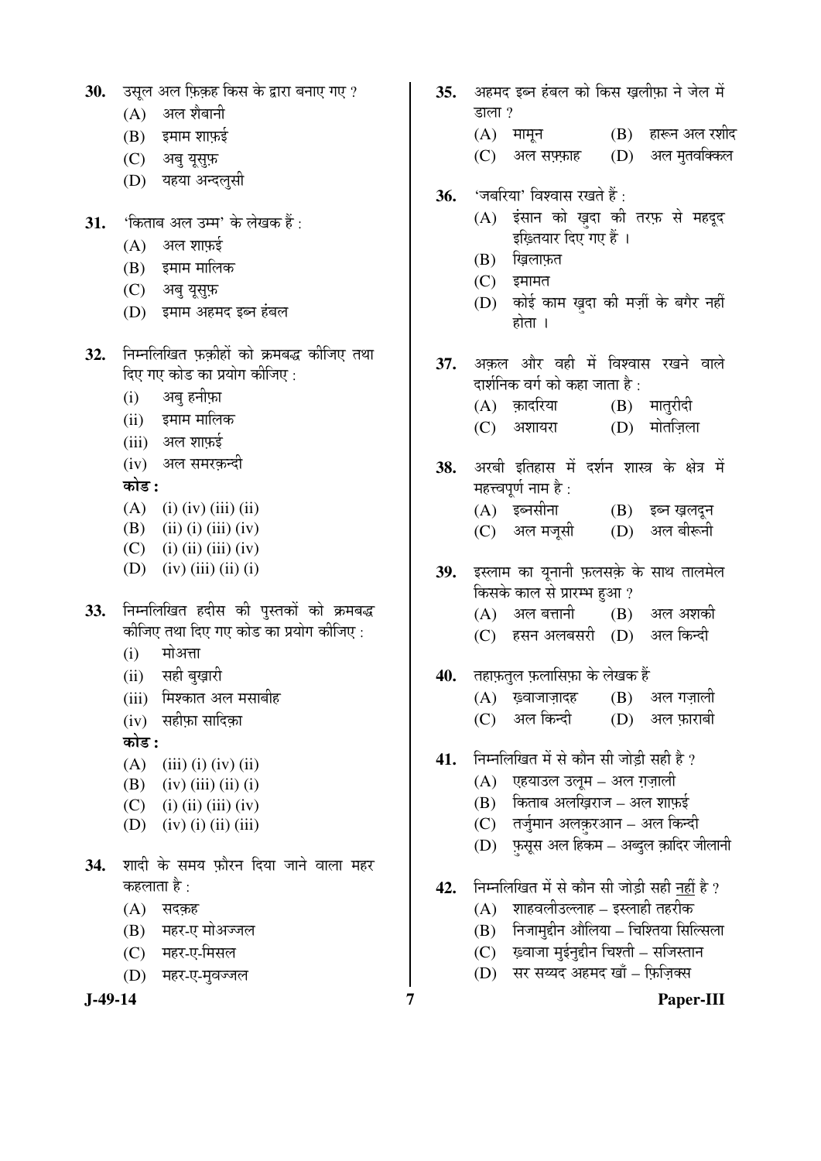|  | ${\bf 30.}$ उसूल अल फ़िक़ह किस के द्वारा बनाए गए ? |  |  |  |  |  |  |  |  |
|--|----------------------------------------------------|--|--|--|--|--|--|--|--|
|--|----------------------------------------------------|--|--|--|--|--|--|--|--|

- $(A)$  अल शैबानी
- $(B)$  इमाम शाफई
- (C) अब यूस्फ़
- (D) यहया अन्दलूसी
- **31.** 'किताब अल उम्म' के लेखक हैं:
	- $(A)$  अल शाफ़ई
	- (B) इमाम मालिक
	- (C) अब यूसुफ़
	- (D) इमाम अहमद इब्न हंबल
- 32. निम्नलिखित फ़कीहों को क्रमबद्ध कीजिए तथा दिए गए कोड का प्रयोग कीजिए :
	- (i) अब हनीफ़ा
	- $(ii)$  इमाम मालिक
	- $(iii)$  अल शाफ़ई
	- (iv) अल समरकन्दी
	- 󜅐ݟ **:**
	- (A) (i) (iv) (iii) (ii)
	- (B) (ii) (i) (iii) (iv)
	- $(C)$  (i) (ii) (iii) (iv)
	- (D) (iv) (iii) (ii) (i)
- 33. निम्नलिखित हदीस की पुस्तकों को क्रमबद्ध कीजिए तथा दिए गए कोड का प्रयोग कीजिए :
	- $(i)$  मोअत्ता
	- (ii) सही बुख़ारी
	- (iii) मिश्कात अल मसाबीह
	- $(iv)$  सहीफा सादिका

󜅐ݟ **:**

- (A) (iii) (i) (iv) (ii)
- $(B)$  (iv) (iii) (ii) (i)
- $(C)$  (i) (ii) (iii) (iv)
- (D) (iv) (i) (ii) (iii)
- **34.** शादी के समय फ़ौरन दिया जाने वाला महर कहलाता है $\cdot$ 
	- $(A)$  सदकह
	- (B) महर-ए मोअज्जल
	- (C) महर-ए-मिसल
	- (D) महर-ए-मवज्जल

- 35. अहमद इब्न हंबल को किस खलीफ़ा ने जेल में डाला ?  $(A)$  मामून  $(B)$  हारून अल रशीद (C) अल सफ़्फ़ाह (D) अल मुतवक्किल **36.** 'जबरिया' विश्वास रखते हैं : (A) इंसान को ख़दा की तरफ़ से महदूद इंग्लियार दिए गए हैं ।  $(B)$  ख़िलाफ़त  $(C)$  इमामत (D) कोई काम ख़दा की मर्ज़ी के बगैर नहीं होता $\perp$ 37. अकल और वही में विश्वास रखने वाले दार्शनिक वर्ग को कहा जाता है :  $\overline{a}$ (A) क़ादरिया (B) मात्*रीदी*  $(C)$  अशायरा $(D)$  मोतज़िला 38. अरबी इतिहास में दर्शन शास्त्र के क्षेत्र में महत्त्वपूर्ण नाम है : (A) इब्नसीना (B) इब्न ख़लदून (C) अल मजूसी (D) अल बीरूनी 39. इस्लाम का यूनानी फ़लसक़े के साथ तालमेल <u>किसके काल से प्रारम्भ हुआ ?</u>  $(A)$  अल बत्तानी  $(B)$  अल अशकी (C) हसन अलबसरी (D) अल*कि*न्दी 40. तहाफ़तुल फ़लासिफ़ा के लेखक हैं  $(A)$  ख़्वाजाज़ादह  $(B)$  अल गज़ाली  $(C)$  अल किन्दी  $(D)$  अल फ़ाराबी 41. FED FED THE THE THE THE THE THE THE THE <sup>2</sup> (A) एहयाउल उलूम – अल ग़ज़ाली  $(B)$  किताब अलखिराज – अल शाफ़ई (C) तर्जुमान अलक़रआन – अल किन्दी  $(D)$  फ़सूस अल हिकम – अब्दुल क़ादिर जीलानी 42. Fiम्नलिखित में से कौन सी जोड़ी सही नहीं है ?  $(A)$  शाहवलीउल्लाह – इस्लाही तहरीक  $(B)$  निजामुद्दीन औलिया – चिश्तिया सिल्सिला  $(C)$  ख़्वाजा मुईनुद्दीन चिश्ती – सजिस्तान
	- (D) सर सय्यद अहमद खाँ फ़िज़िक्स

**J-49-14 7 Paper-III**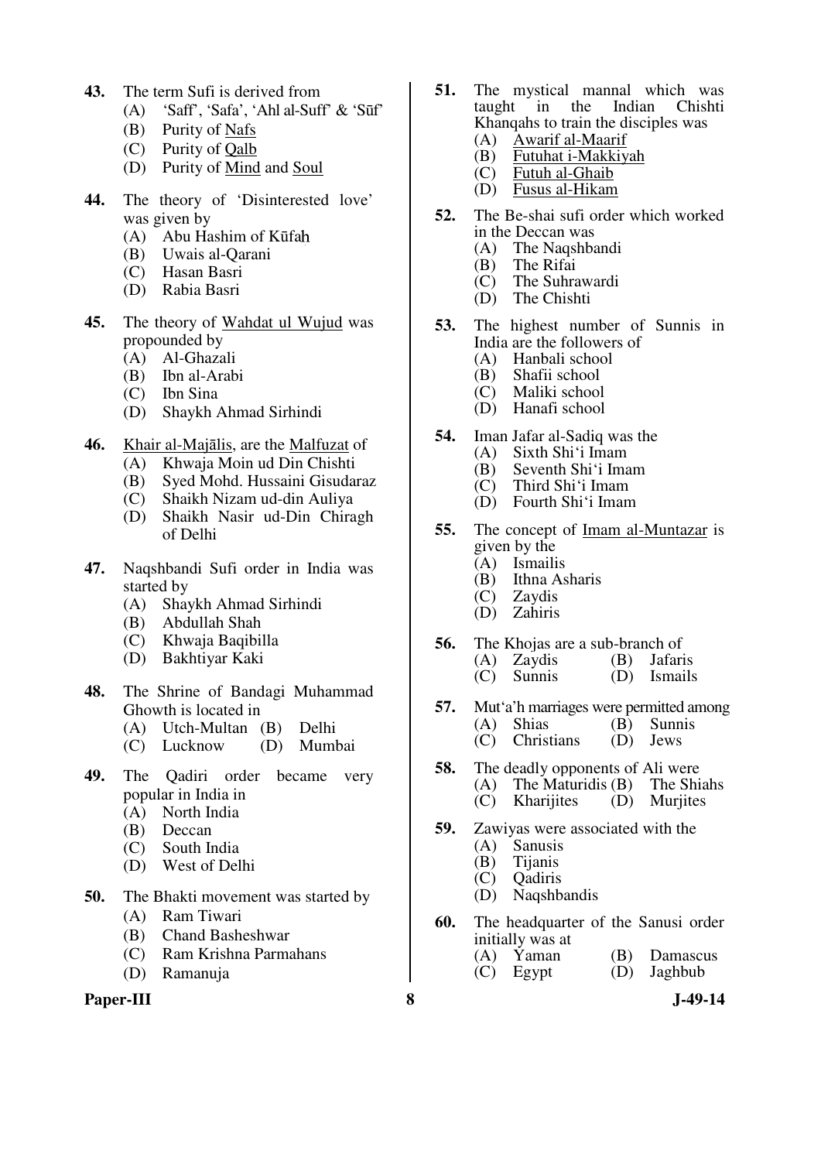- **43.** The term Sufi is derived from
	- (A) 'Saff', 'Safa', 'Ahl al-Suff' & 'Sūf'
	- (B) Purity of Nafs
	- (C) Purity of Qalb
	- (D) Purity of Mind and Soul
- **44.** The theory of 'Disinterested love' was given by
	- (A) Abu Hashim of Kūfa
	- (B) Uwais al-Qarani
	- (C) Hasan Basri
	- (D) Rabia Basri
- **45.** The theory of Wahdat ul Wujud was propounded by
	- (A) Al-Ghazali
	- (B) Ibn al-Arabi
	- (C) Ibn Sina
	- (D) Shaykh Ahmad Sirhindi
- **46.** Khair al-Majālis, are the Malfuzat of
	- (A) Khwaja Moin ud Din Chishti
	- (B) Syed Mohd. Hussaini Gisudaraz
	- (C) Shaikh Nizam ud-din Auliya
	- (D) Shaikh Nasir ud-Din Chiragh of Delhi
- **47.** Naqshbandi Sufi order in India was started by<br>(A) Sha
	- Shaykh Ahmad Sirhindi
	- (B) Abdullah Shah
	- (C) Khwaja Baqibilla
	- (D) Bakhtiyar Kaki
- **48.** The Shrine of Bandagi Muhammad Ghowth is located in
	- (A) Utch-Multan (B) Delhi
	- $(C)$  Lucknow
- **49.** The Qadiri order became very popular in India in
	- (A) North India
	- (B) Deccan
	- (C) South India
	- (D) West of Delhi
- **50.** The Bhakti movement was started by
	- (A) Ram Tiwari
	- (B) Chand Basheshwar
	- (C) Ram Krishna Parmahans
	- (D) Ramanuja

#### **Paper-III 8 J-49-14**

- **51.** The mystical mannal which was taught in the Indian Chishti in the Indian Chishti Khanqahs to train the disciples was
	- (A) Awarif al-Maarif<br>(B) Futuhat i-Makkiy
	- (B) Futuhat i-Makkiyah<br>(C) Futuh al-Ghaib Futuh al-Ghaib
	-
	- (D) Fusus al-Hikam
- **52.** The Be-shai sufi order which worked in the Deccan was<br>(A) The Nagshba
	- The Naqshbandi
	- (B) The Rifai
	- (C) The Suhrawardi
	- The Chishti
- **53.** The highest number of Sunnis in India are the followers of<br>(A) Hanbali school
	- (A) Hanbali school<br>(B) Shafii school
	- (B) Shafii school<br>(C) Maliki school
	- Maliki school
	- (D) Hanafi school
- **54.** Iman Jafar al-Sadiq was the (A) Sixth Shi'i Imam
	- (A) Sixth Shi'i Imam
	- (B) Seventh Shi'i Imam<br>(C) Third Shi'i Imam
	- Third Shi'i Imam
	- (D) Fourth Shi'i Imam
- **55.** The concept of Imam al-Muntazar is given by the
	- (A) Ismailis
	- (B) Ithna Asharis
	- (C) Zaydis
	- (D) Zahiris
- **56.** The Khojas are a sub-branch of<br>
(A) Zavdis (B) Jafaris
	- $(A)$  Zaydis
	- (C) Sunnis (D) Ismails
- **57.** Mut'a'h marriages were permitted among<br>(A) Shias (B) Sunnis (B) Sunnis (D) Jews  $(C)$  Christians
- **58.** The deadly opponents of Ali were (A) The Maturidis (B) The Shiahs (C) Kharijites (D) Murjites
- **59.** Zawiyas were associated with the
	- (A) Sanusis
	- (B) Tijanis
	- (C) Qadiris
	- (D) Naqshbandis
- **60.** The headquarter of the Sanusi order initially was at<br>(A) Yaman
	- (A) Yaman (B) Damascus<br>(C) Egypt (D) Jaghbub
	- $(C)$  Egypt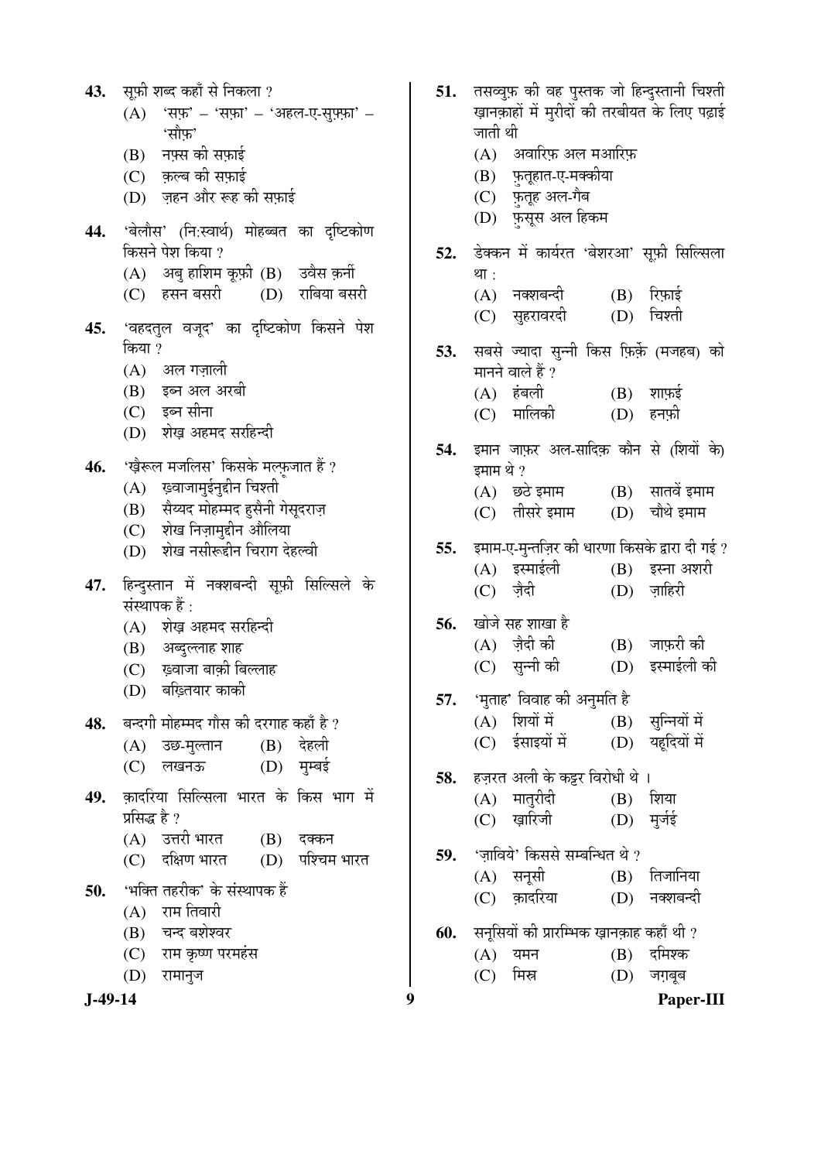| 43. | सूफ़ी शब्द कहाँ से निकला ?                                        | 51. | त                         |
|-----|-------------------------------------------------------------------|-----|---------------------------|
|     | 'सफ़' – 'सफ़ा' – 'अहल-ए-सुफ़्फ़ा' –<br>(A)                        |     | ख़                        |
|     | 'सौ़फ़'                                                           |     | ज                         |
|     | (B) नफ़्स की सफ़ाई<br>(C) क़ल्ब की सफ़ाई                          |     | (<br>(                    |
|     | (D) ज़हन और रूह की सफ़ाई                                          |     | $\overline{\mathcal{L}}$  |
| 44. | 'बेलौस' (नि:स्वार्थ) मोहब्बत का दृष्टिकोण                         |     | $\left($ $\Gamma\right)$  |
|     | किसने पेश किया ?                                                  | 52. | डे                        |
|     | (A) अबु हाशिम कूफ़ी (B) उवैस क़र्नी                               |     | था                        |
|     | (D) राबिया बसरी<br>(C) हसन बसरी                                   |     | (                         |
| 45. | 'वहदतुल वजूद' का दृष्टिकोण किसने पेश                              |     | $\overline{\mathcal{L}}$  |
|     | किया ?                                                            | 53. | स                         |
|     | (A) अल गज़ाली                                                     |     | मा                        |
|     | (B) इब्न अल अरबी                                                  |     | (                         |
|     | (C) इब्न सीना<br>(D) शेख़ अहमद सरहिन्दी                           |     | $\overline{\mathcal{L}}$  |
|     |                                                                   | 54. | इम                        |
|     | 46. 'ख़ैरूल मजलिस' किसके मल्फ़जात हैं ?                           |     | इम                        |
|     | $(A)$ ख़्वाजामुईनुद्दीन चिश्ती                                    |     | (                         |
|     | (B) सैय्यद मोहम्मद हुसैनी गेसूदराज़<br>(C) शेख निज़ामुद्दीन औलिया |     | $\overline{\mathcal{L}}$  |
|     | (D) शेख नसीरूद्दीन चिराग देहल्वी                                  | 55. | इम                        |
|     |                                                                   |     | (                         |
| 47. | हिन्दुस्तान में नक्शबन्दी सूफ़ी सिल्सिले के<br>संस्थापक हैं :     |     | $\overline{\mathcal{C}}$  |
|     | (A) शेख़ अहमद सरहिन्दी                                            | 56. | खं                        |
|     | (B) अब्दुल्लाह शाह                                                |     | (                         |
|     | (C) ख़्वाजा बाक़ी बिल्लाह                                         |     | $\overline{\mathcal{L}}$  |
|     | (D) बख़्तियार काकी                                                | 57. | $\mathfrak{r}$            |
| 48. | बन्दगी मोहम्मद गौस की दरगाह कहाँ है ?                             |     | (                         |
|     | (A) उछ-मुल्तान (B) देहली                                          |     | $\overline{\mathcal{L}}$  |
|     | $(D)$ मुम्बई<br>(C) लखनऊ                                          | 58. | हर                        |
| 49. | क़ादरिया सिल्सिला भारत के किस भाग में                             |     | (                         |
|     | प्रसिद्ध है ?                                                     |     | $\overline{\mathcal{L}}$  |
|     | (A) उत्तरी भारत<br>$(B)$ दक्कन                                    | 59. | $\tilde{\mathcal{L}}$     |
|     | (C) दक्षिण भारत (D) पश्चिम भारत                                   |     | (                         |
| 50. | 'भक्ति तहरीक' के संस्थापक हैं                                     |     | $\overline{(\mathsf{C})}$ |
|     | $(A)$ राम तिवारी                                                  |     |                           |
|     | (B) चन्द बशेश्वर<br>(C) राम कृष्ण परमहंस                          | 60. | स<br>(                    |
|     | (D) रामानुज                                                       |     | $\overline{\mathcal{L}}$  |
|     |                                                                   |     |                           |

**J-49-14 9 Paper-III** .<br>सव्वुफ़ की वह पुस्तक जो हिन्दुस्तानी चिश्ती  $\bar{\mathfrak y}$ काहों में मुरीदों की तरबीयत के लिए पढ़ाई **πती** थी A) – अवारिफ़ अल मआरिफ़ B) फ़तृहात-ए-मक्कीया C) फ़तूह अल-गैब D) फ़सूस अल हिकम .<br>क्कन में कार्यरत 'बेशरआ' स्**फ़ी सिल्सिला**  $\overline{\mathsf{I}}$  : A) नक्शबन्दी (B) रिफ़ाई<br>C) सुहरावरदी (D) चिश्ती C) सुहरावरदी ।<br>बिसे ज्यादा सुन्नी किस फ़िर्क़े (मजहब) को ानने वाले हैं ?<br>A) हंबली  $(B)$  शाफ़ई C) मालिको (D) हनफ़ो .<br>मान जाफ़र अल-सादिक़ कौन से (शियों के) माम थे ?<br>A) छठे इमाम <mark>A) छठे</mark> इमाम (B) सातवें इमाम<br>C) तीसरे इमाम (D) चौथे इमाम  $(D)$  चौथे इमाम माम-ए-मुन्तज़िर की धारणा किसके द्वारा दी गई ?<br>A) इस्माईली (B) इस्ना अशरी A) इस्माईली (B) इस्ना अशरी<br>C) ज़ैदी (D) ज़ाहिरी  $(D)$  ज़ाहिरी iोजे सह शाखा है<br>A) ज़ैदी की A) ज़ैदी की (B) जाफ़री की<br>C) सुन्नी की (D) इस्माईली व् (D) इस्माईली की मुताह' विवाह की अनुमति है<br>A) शियों में (B)  $(B)$  सुन्नियों में C) ईसाइयों में (D) यहूदियों में ज़रत अली के कट्टर विरोधी थे । A) मातृरीदी (B) शिया C) ख़ारिजी (D) मुर्जई ज़ाविये' किससे सम्बन्धित थे ?<br>A) सनूसी (B) A) सनूसी (B) तिजानिया<br>C) क़ादरिया (D) नक्शबन्दी (D) नक्शबन्दी **60.** ÃÖ®Öæ×ÃÖµÖÖë Ûúß ¯ÖÏÖ¸ü×´³ÖÛú ÜÖÌÖ®ÖÛÌúÖÆü ÛúÆüÖÑ £Öß ?  $(B)$  दमिश्क (C) ×´ÖÄÖ (D) •ÖÝÖÌ²Öæ²Ö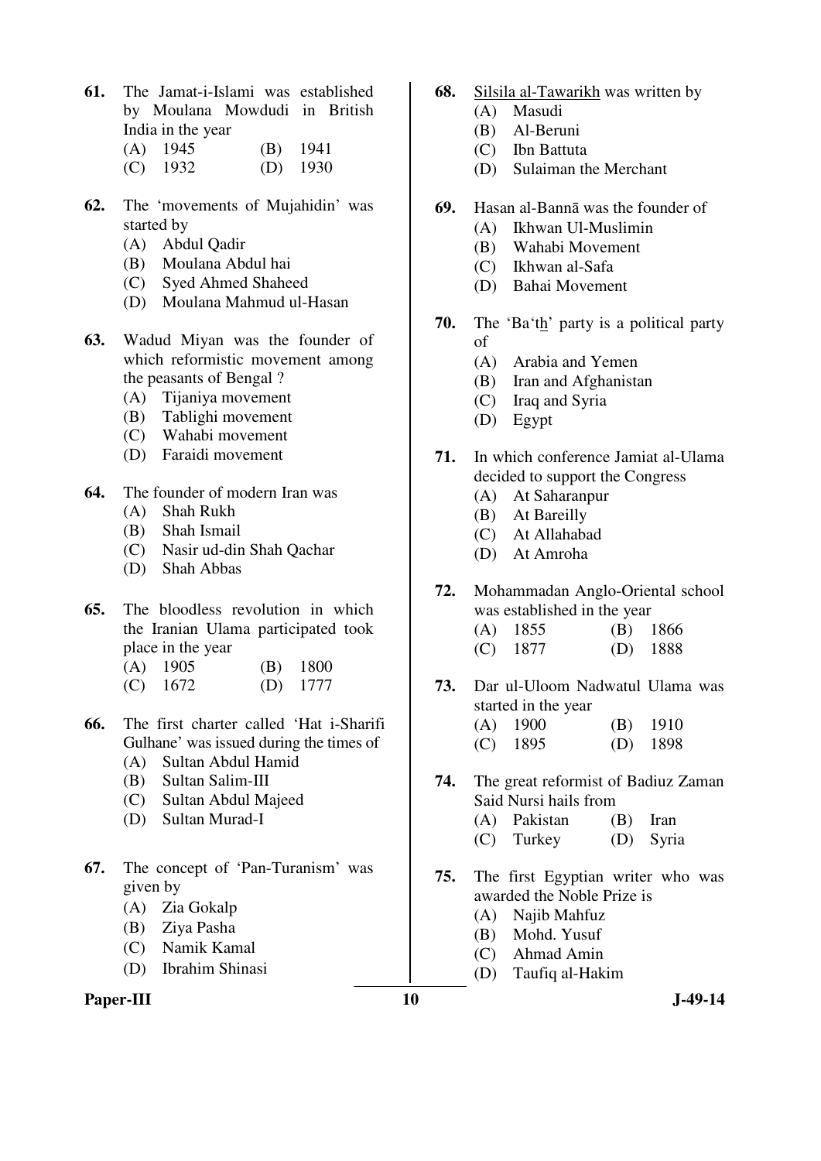- **61.** The Jamat-i-Islami was established by Moulana Mowdudi in British India in the year
	- (A) 1945 (B) 1941 (C) 1932 (D) 1930
- **62.** The 'movements of Mujahidin' was started by
	- (A) Abdul Qadir
	- (B) Moulana Abdul hai
	- (C) Syed Ahmed Shaheed
	- (D) Moulana Mahmud ul-Hasan
- **63.** Wadud Miyan was the founder of which reformistic movement among the peasants of Bengal ?
	- (A) Tijaniya movement
	- (B) Tablighi movement
	- (C) Wahabi movement
	- (D) Faraidi movement
- **64.** The founder of modern Iran was
	- (A) Shah Rukh
	- (B) Shah Ismail
	- (C) Nasir ud-din Shah Qachar
	- (D) Shah Abbas
- **65.** The bloodless revolution in which the Iranian Ulama participated took place in the year
	- (A) 1905 (B) 1800 (C) 1672 (D) 1777
- **66.** The first charter called 'Hat i-Sharifi Gulhane' was issued during the times of
	- (A) Sultan Abdul Hamid
	- (B) Sultan Salim-III
	- (C) Sultan Abdul Majeed
	- (D) Sultan Murad-I
- **67.** The concept of 'Pan-Turanism' was given by
	- (A) Zia Gokalp
	- (B) Ziya Pasha
	- (C) Namik Kamal
	- (D) Ibrahim Shinasi

### Paper-III **10** J-49-14

- **68.** Silsila al-Tawarikh was written by
	- (A) Masudi
	- (B) Al-Beruni
	- (C) Ibn Battuta
	- (D) Sulaiman the Merchant
- **69.** Hasan al-Bannā was the founder of
	- (A) Ikhwan Ul-Muslimin
	- (B) Wahabi Movement
	- (C) Ikhwan al-Safa
	- (D) Bahai Movement
- **70.** The 'Ba'th' party is a political party of
	- (A) Arabia and Yemen
	- (B) Iran and Afghanistan
	- (C) Iraq and Syria
	- (D) Egypt
- **71.** In which conference Jamiat al-Ulama decided to support the Congress
	- (A) At Saharanpur
	- (B) At Bareilly
	- (C) At Allahabad
	- (D) At Amroha
- **72.** Mohammadan Anglo-Oriental school was established in the year
	- (A) 1855 (B) 1866 (C) 1877 (D) 1888
- **73.** Dar ul-Uloom Nadwatul Ulama was
	- started in the year (A) 1900 (B) 1910
		- (C) 1895 (D) 1898
- **74.** The great reformist of Badiuz Zaman Said Nursi hails from
	- (A) Pakistan (B) Iran
	- (C) Turkey (D) Syria
- **75.** The first Egyptian writer who was awarded the Noble Prize is
	- (A) Najib Mahfuz
	- (B) Mohd. Yusuf
	- (C) Ahmad Amin
	- (D) Taufiq al-Hakim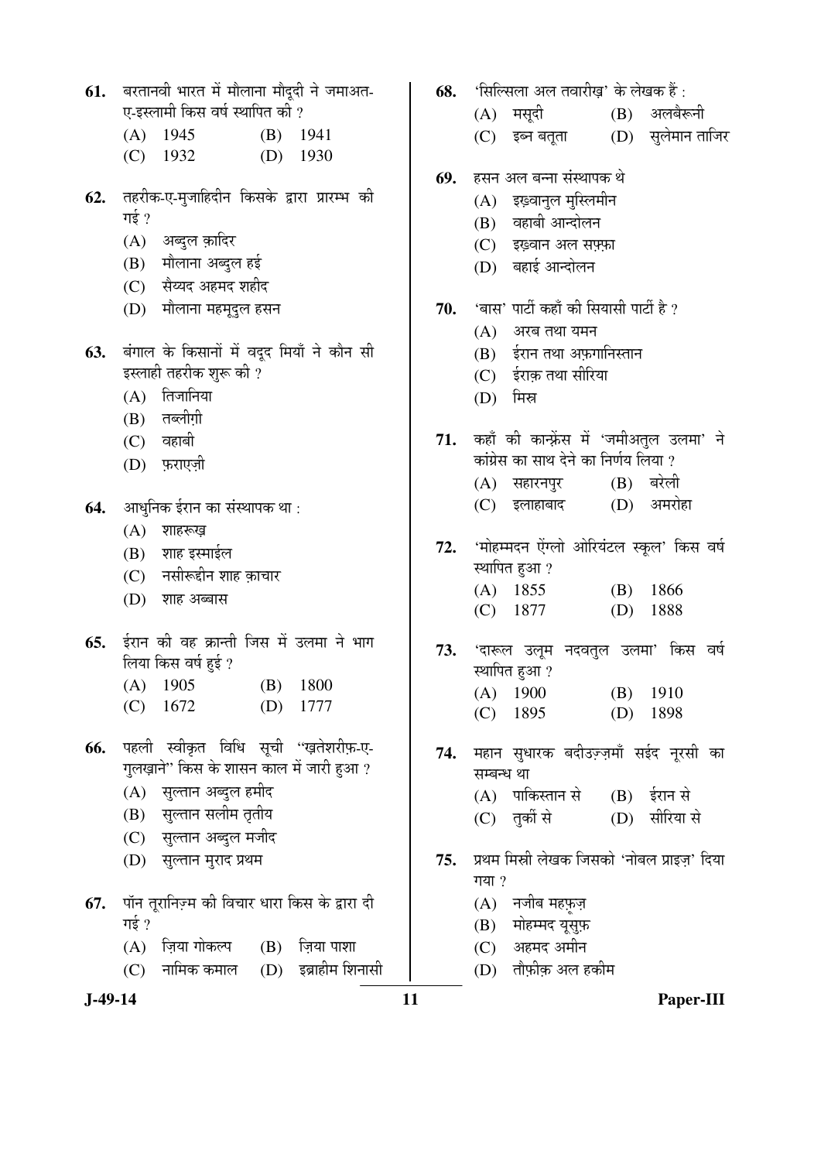| 61.       | बरतानवी भारत में मौलाना मौदूदी ने जमाअत-              | 68. | 'सिल्सिला अल तवारीख़' के लेखक हैं :                   |
|-----------|-------------------------------------------------------|-----|-------------------------------------------------------|
|           | ए-इस्लामी किस वर्ष स्थापित की ?                       |     | (A) मसूदी<br>$(B)$ अलबैरूनी                           |
|           | $(A)$ 1945<br>$(B)$ 1941<br>1930<br>$(C)$ 1932<br>(D) |     | (C) इब्न बतूता (D) सुलेमान ताजिर                      |
|           |                                                       | 69. | हसन अल बन्ना संस्थापक थे                              |
| 62.       | तहरीक-ए-मुजाहिदीन किसके द्वारा प्रारम्भ की            |     | (A) इख़्वानुल मुस्लिमीन                               |
|           | गई ?                                                  |     | वहाबी आन्दोलन<br>(B)                                  |
|           | (A) अब्दुल क़ादिर                                     |     | (C) इंख़्वान अल सफ़्फ़ा                               |
|           | (B) मौलाना अब्दुल हई                                  |     | (D) बहाई आन्दोलन                                      |
|           | (C) सैय्यद अहमद शहीद                                  |     |                                                       |
|           | (D) मौलाना महमूदुल हसन                                | 70. | 'बास' पार्टी कहाँ की सियासी पार्टी है ?               |
|           |                                                       |     | (A)<br>अरब तथा यमन                                    |
| 63.       | बंगाल के किसानों में वदूद मियाँ ने कौन सी             |     | (B) ईरान तथा अफ़गानिस्तान                             |
|           | इस्लाही तहरीक शुरू की ?                               |     | (C) ईराक़ तथा सीरिया                                  |
|           | तिजानिया<br>(A)                                       |     | मिस्र<br>(D)                                          |
|           | (B) तब्लीग़ी                                          |     |                                                       |
|           | $(C)$ वहाबी                                           |     | 71. कहाँ की कान्फ़्रेंस में 'जमीअतुल उलमा' ने         |
|           | (D) फ़राएज़ी                                          |     | कांग्रेस का साथ देने का निर्णय लिया ?                 |
|           |                                                       |     | $(B)$ बरेली<br>(A) सहारनपुर                           |
| 64.       | आधुनिक ईरान का संस्थापक था :                          |     | अमरोहा<br>इलाहाबाद<br>(D)<br>(C)                      |
|           | $(A)$ शाहरूख़                                         |     |                                                       |
|           | (B) शाह इस्माईल                                       | 72. | 'मोहम्मदन ऐंग्लो ओरियंटल स्कूल' किस वर्ष              |
|           | (C) नसीरूद्दीन शाह क़ाचार                             |     | स्थापित हुआ ?                                         |
|           | (D) शाह अब्बास                                        |     | $(A)$ 1855<br>$(B)$ 1866<br>1888<br>$(C)$ 1877<br>(D) |
|           | ईरान की वह क्रान्ती जिस में उलमा ने भाग               |     |                                                       |
| 65.       |                                                       |     | 73. 'दारूल उलूम नदवतुल उलमा' किस वर्ष                 |
|           | लिया किस वर्ष हुई ?                                   |     | स्थापित हुआ ?                                         |
|           | $(A)$ 1905 $(B)$ 1800<br>$(C)$ 1672<br>$(D)$ 1777     |     | (A) 1900 (B) 1910                                     |
|           |                                                       |     | (D)<br>(C)<br>1895<br>1898                            |
| 66.       | पहली स्वीकृत विधि सूची ''ख़तेशरीफ़-ए-                 | 74. | महान सुधारक बदीउज़्ज़माँ सईद नूरसी का                 |
|           | गुलख़ाने'' किस के शासन काल में जारी हुआ ?             |     | सम्बन्ध था                                            |
|           | (A) सुल्तान अब्दुल हमीद                               |     | (A) पाकिस्तान से<br>$(B)$ ईरान से                     |
|           | (B) सुल्तान सलीम तृतीय                                |     | सीरिया से<br>(C) तुर्की से<br>(D)                     |
|           | (C) सुल्तान अब्दुल मजीद                               |     |                                                       |
|           | (D) सुल्तान मुराद प्रथम                               | 75. | प्रथम मिस्री लेखक जिसको 'नोबल प्राइज़' दिया<br>गया ?  |
| 67.       | पॉन तूरानिज़्म की विचार धारा किस के द्वारा दी         |     | (A) नजीब महफ़ज़                                       |
|           | गई ?                                                  |     | मोहम्मद यूसुफ़<br>(B)                                 |
|           | ज़िया गोकल्प<br>(A)<br>$(B)$ ज़िया पाशा               |     | (C) अहमद अमीन                                         |
|           | (D) इब्राहीम शिनासी<br>नामिक कमाल<br>(C)              |     | तौफ़ीक़ अल हकीम<br>(D)                                |
| $J-49-14$ |                                                       | 11  | Paper-III                                             |